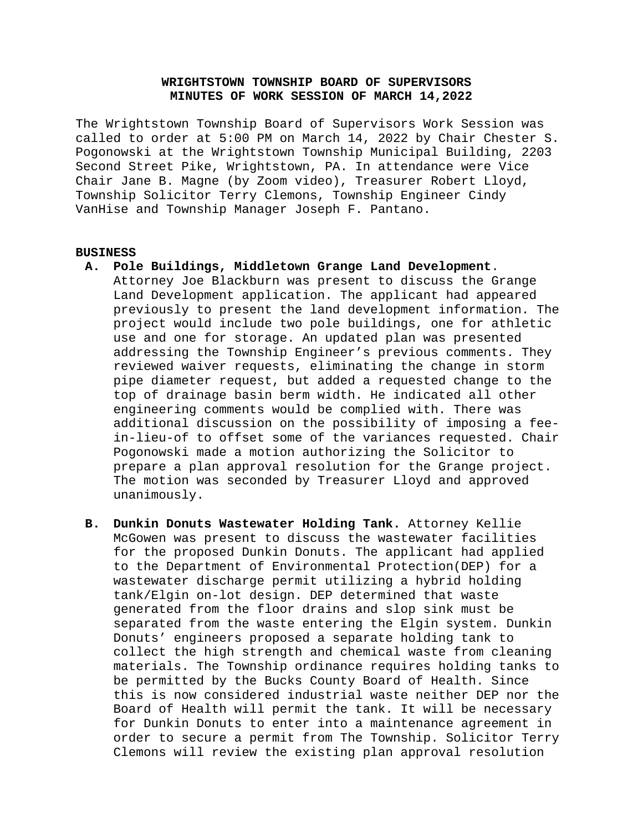# **WRIGHTSTOWN TOWNSHIP BOARD OF SUPERVISORS MINUTES OF WORK SESSION OF MARCH 14,2022**

The Wrightstown Township Board of Supervisors Work Session was called to order at 5:00 PM on March 14, 2022 by Chair Chester S. Pogonowski at the Wrightstown Township Municipal Building, 2203 Second Street Pike, Wrightstown, PA. In attendance were Vice Chair Jane B. Magne (by Zoom video), Treasurer Robert Lloyd, Township Solicitor Terry Clemons, Township Engineer Cindy VanHise and Township Manager Joseph F. Pantano.

### **BUSINESS**

**A. Pole Buildings, Middletown Grange Land Development**.

Attorney Joe Blackburn was present to discuss the Grange Land Development application. The applicant had appeared previously to present the land development information. The project would include two pole buildings, one for athletic use and one for storage. An updated plan was presented addressing the Township Engineer's previous comments. They reviewed waiver requests, eliminating the change in storm pipe diameter request, but added a requested change to the top of drainage basin berm width. He indicated all other engineering comments would be complied with. There was additional discussion on the possibility of imposing a feein-lieu-of to offset some of the variances requested. Chair Pogonowski made a motion authorizing the Solicitor to prepare a plan approval resolution for the Grange project. The motion was seconded by Treasurer Lloyd and approved unanimously.

**B. Dunkin Donuts Wastewater Holding Tank.** Attorney Kellie McGowen was present to discuss the wastewater facilities for the proposed Dunkin Donuts. The applicant had applied to the Department of Environmental Protection(DEP) for a wastewater discharge permit utilizing a hybrid holding tank/Elgin on-lot design. DEP determined that waste generated from the floor drains and slop sink must be separated from the waste entering the Elgin system. Dunkin Donuts' engineers proposed a separate holding tank to collect the high strength and chemical waste from cleaning materials. The Township ordinance requires holding tanks to be permitted by the Bucks County Board of Health. Since this is now considered industrial waste neither DEP nor the Board of Health will permit the tank. It will be necessary for Dunkin Donuts to enter into a maintenance agreement in order to secure a permit from The Township. Solicitor Terry Clemons will review the existing plan approval resolution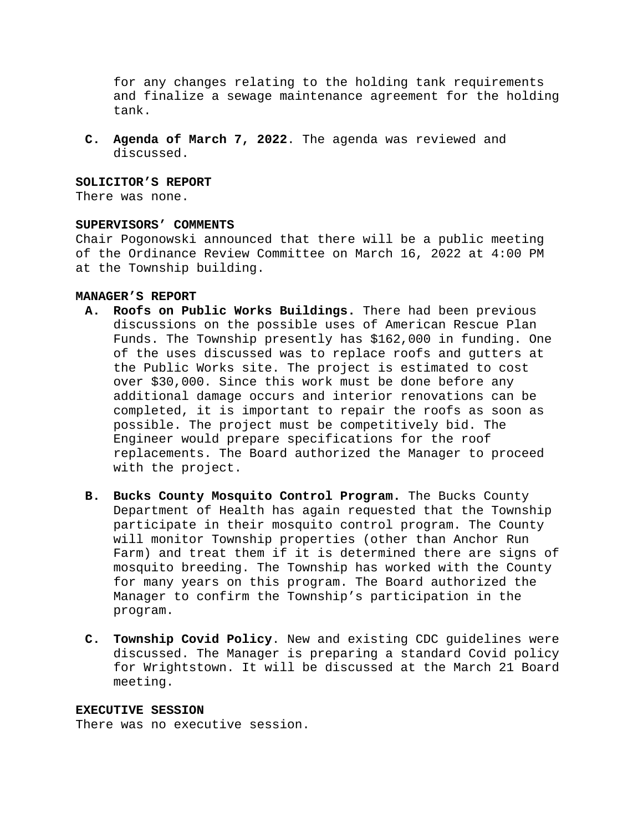for any changes relating to the holding tank requirements and finalize a sewage maintenance agreement for the holding tank.

**C. Agenda of March 7, 2022**. The agenda was reviewed and discussed.

### **SOLICITOR'S REPORT**

There was none.

### **SUPERVISORS' COMMENTS**

Chair Pogonowski announced that there will be a public meeting of the Ordinance Review Committee on March 16, 2022 at 4:00 PM at the Township building.

#### **MANAGER'S REPORT**

- **A. Roofs on Public Works Buildings.** There had been previous discussions on the possible uses of American Rescue Plan Funds. The Township presently has \$162,000 in funding. One of the uses discussed was to replace roofs and gutters at the Public Works site. The project is estimated to cost over \$30,000. Since this work must be done before any additional damage occurs and interior renovations can be completed, it is important to repair the roofs as soon as possible. The project must be competitively bid. The Engineer would prepare specifications for the roof replacements. The Board authorized the Manager to proceed with the project.
- **B. Bucks County Mosquito Control Program.** The Bucks County Department of Health has again requested that the Township participate in their mosquito control program. The County will monitor Township properties (other than Anchor Run Farm) and treat them if it is determined there are signs of mosquito breeding. The Township has worked with the County for many years on this program. The Board authorized the Manager to confirm the Township's participation in the program.
- **C. Township Covid Policy**. New and existing CDC guidelines were discussed. The Manager is preparing a standard Covid policy for Wrightstown. It will be discussed at the March 21 Board meeting.

#### **EXECUTIVE SESSION**

There was no executive session.